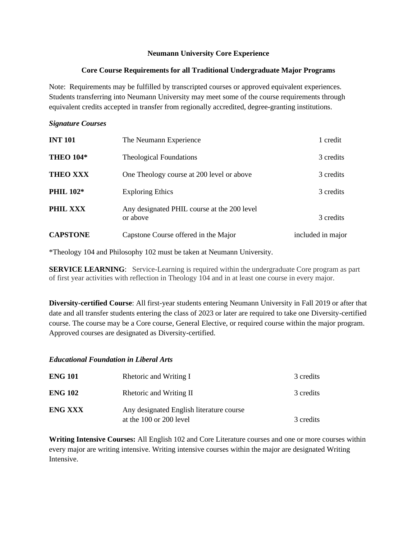### **Neumann University Core Experience**

#### **Core Course Requirements for all Traditional Undergraduate Major Programs**

Note: Requirements may be fulfilled by transcripted courses or approved equivalent experiences. Students transferring into Neumann University may meet some of the course requirements through equivalent credits accepted in transfer from regionally accredited, degree-granting institutions.

### *Signature Courses*

| <b>INT 101</b>   | The Neumann Experience                                  | 1 credit          |
|------------------|---------------------------------------------------------|-------------------|
| <b>THEO 104*</b> | <b>Theological Foundations</b>                          | 3 credits         |
| <b>THEO XXX</b>  | One Theology course at 200 level or above               | 3 credits         |
| <b>PHIL 102*</b> | <b>Exploring Ethics</b>                                 | 3 credits         |
| PHIL XXX         | Any designated PHIL course at the 200 level<br>or above | 3 credits         |
| <b>CAPSTONE</b>  | Capstone Course offered in the Major                    | included in major |

\*Theology 104 and Philosophy 102 must be taken at Neumann University.

**SERVICE LEARNING**: Service-Learning is required within the undergraduate Core program as part of first year activities with reflection in Theology 104 and in at least one course in every major.

**Diversity-certified Course**: All first-year students entering Neumann University in Fall 2019 or after that date and all transfer students entering the class of 2023 or later are required to take one Diversity-certified course. The course may be a Core course, General Elective, or required course within the major program. Approved courses are designated as Diversity-certified.

### *Educational Foundation in Liberal Arts*

| <b>ENG 101</b> | Rhetoric and Writing I                                              | 3 credits |
|----------------|---------------------------------------------------------------------|-----------|
| <b>ENG 102</b> | Rhetoric and Writing II                                             | 3 credits |
| <b>ENG XXX</b> | Any designated English literature course<br>at the 100 or 200 level | 3 credits |

**Writing Intensive Courses:** All English 102 and Core Literature courses and one or more courses within every major are writing intensive. Writing intensive courses within the major are designated Writing **Intensive**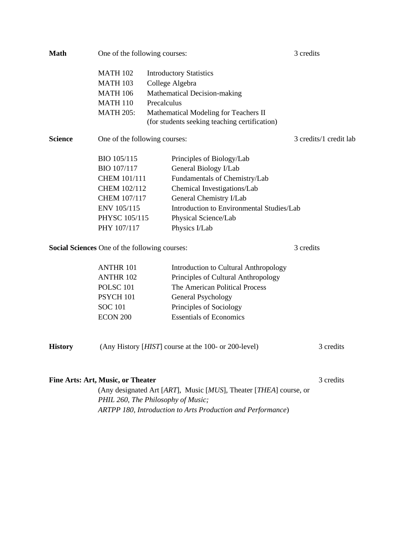| <b>Math</b>                                          | One of the following courses:                                     |                 |                                                                                        | 3 credits |           |  |
|------------------------------------------------------|-------------------------------------------------------------------|-----------------|----------------------------------------------------------------------------------------|-----------|-----------|--|
|                                                      | <b>MATH 102</b>                                                   |                 | <b>Introductory Statistics</b>                                                         |           |           |  |
|                                                      | <b>MATH 103</b>                                                   | College Algebra |                                                                                        |           |           |  |
|                                                      | <b>MATH 106</b>                                                   |                 | Mathematical Decision-making                                                           |           |           |  |
|                                                      | <b>MATH 110</b>                                                   | Precalculus     |                                                                                        |           |           |  |
|                                                      | <b>MATH 205:</b>                                                  |                 | Mathematical Modeling for Teachers II<br>(for students seeking teaching certification) |           |           |  |
| <b>Science</b>                                       | One of the following courses:                                     |                 | 3 credits/1 credit lab                                                                 |           |           |  |
|                                                      | BIO 105/115                                                       |                 | Principles of Biology/Lab                                                              |           |           |  |
|                                                      | BIO 107/117                                                       |                 | General Biology I/Lab                                                                  |           |           |  |
|                                                      | CHEM 101/111<br>CHEM 102/112<br>CHEM 107/117<br>ENV 105/115       |                 | Fundamentals of Chemistry/Lab                                                          |           |           |  |
|                                                      |                                                                   |                 | Chemical Investigations/Lab                                                            |           |           |  |
|                                                      |                                                                   |                 | General Chemistry I/Lab                                                                |           |           |  |
|                                                      |                                                                   |                 | Introduction to Environmental Studies/Lab                                              |           |           |  |
|                                                      | PHYSC 105/115                                                     |                 | Physical Science/Lab                                                                   |           |           |  |
|                                                      | PHY 107/117                                                       |                 | Physics I/Lab                                                                          |           |           |  |
| <b>Social Sciences</b> One of the following courses: |                                                                   | 3 credits       |                                                                                        |           |           |  |
|                                                      | <b>ANTHR 101</b>                                                  |                 | Introduction to Cultural Anthropology                                                  |           |           |  |
|                                                      | <b>ANTHR 102</b>                                                  |                 | Principles of Cultural Anthropology                                                    |           |           |  |
|                                                      | <b>POLSC 101</b>                                                  |                 | The American Political Process                                                         |           |           |  |
|                                                      | PSYCH 101                                                         |                 | General Psychology                                                                     |           |           |  |
|                                                      | <b>SOC 101</b>                                                    |                 | Principles of Sociology                                                                |           |           |  |
|                                                      | ECON 200                                                          |                 | <b>Essentials of Economics</b>                                                         |           |           |  |
| <b>History</b>                                       |                                                                   |                 | (Any History [ <i>HIST</i> ] course at the 100- or 200-level)                          |           | 3 credits |  |
|                                                      |                                                                   |                 |                                                                                        |           |           |  |
|                                                      | <b>Fine Arts: Art, Music, or Theater</b>                          |                 |                                                                                        |           | 3 credits |  |
|                                                      | (Any designated Art [ART], Music [MUS], Theater [THEA] course, or |                 |                                                                                        |           |           |  |
|                                                      | PHIL 260, The Philosophy of Music;                                |                 |                                                                                        |           |           |  |

*ARTPP 180, Introduction to Arts Production and Performance*)